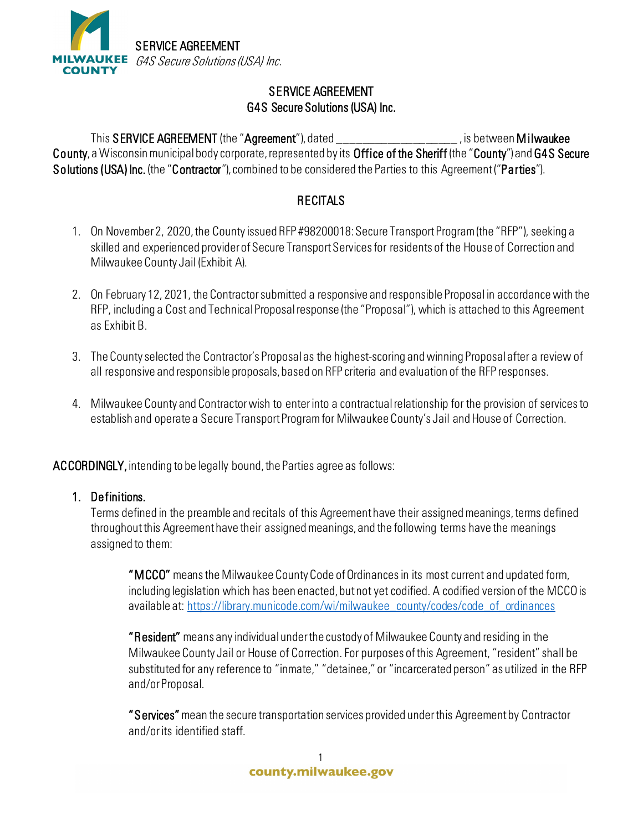

# SERVICE AGREEMENT G4S Secure Solutions (USA) Inc.

This SERVICE AGREEMENT (the "Agreement"), dated \_\_\_\_\_\_\_\_\_\_\_\_\_\_\_\_\_\_\_ , is between Milwaukee County, a Wisconsin municipal body corporate, represented by its Office of the Sheriff (the "County") and G4S Secure Solutions (USA) Inc. (the "Contractor"), combined to be considered the Parties to this Agreement ("Parties").

# RECITALS

- 1. On November 2, 2020, the County issued RFP #98200018: Secure Transport Program (the "RFP"), seeking a skilled and experienced provider of Secure Transport Services for residents of the House of Correction and Milwaukee County Jail (Exhibit A).
- 2. On February 12, 2021, the Contractor submitted a responsive and responsible Proposal in accordance with the RFP, including a Cost and Technical Proposal response (the "Proposal"), which is attached to this Agreement as Exhibit B.
- 3. The County selected the Contractor's Proposal as the highest-scoring and winning Proposal after a review of all responsive and responsible proposals, based on RFP criteria and evaluation of the RFP responses.
- 4. Milwaukee County and Contractor wish to enter into a contractualrelationship for the provision of services to establish and operate a Secure Transport Program for Milwaukee County's Jail and House of Correction.

ACCORDINGLY, intending to be legally bound, the Parties agree as follows:

# 1. Definitions.

Terms defined in the preamble and recitals of this Agreement have their assigned meanings, terms defined throughout this Agreement have their assigned meanings, and the following terms have the meanings assigned to them:

"MCCO" means the Milwaukee County Code of Ordinances in its most current and updated form, including legislation which has been enacted, but not yet codified. A codified version of the MCCO is available at: [https://library.municode.com/wi/milwaukee\\_county/codes/code\\_of\\_ordinances](https://library.municode.com/wi/milwaukee_county/codes/code_of_ordinances)

"Resident" means any individual under the custody of Milwaukee County and residing in the Milwaukee County Jail or House of Correction. For purposes of this Agreement, "resident" shall be substituted for any reference to "inmate," "detainee," or "incarcerated person" as utilized in the RFP and/or Proposal.

"Services" mean the secure transportation services provided under this Agreement by Contractor and/or its identified staff.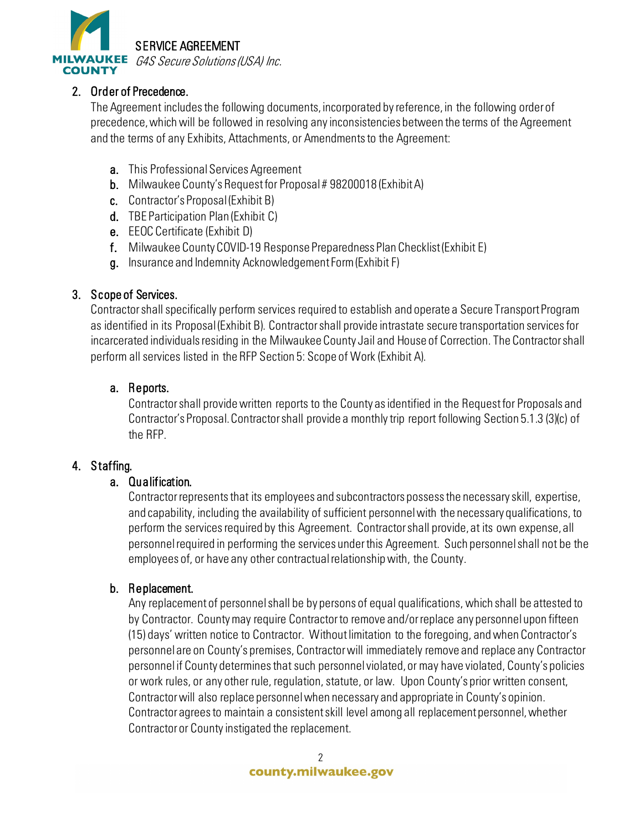

# 2. Order of Precedence.

The Agreement includes the following documents, incorporated by reference, in the following order of precedence, which will be followed in resolving any inconsistencies between the terms of the Agreement and the terms of any Exhibits, Attachments, or Amendments to the Agreement:

- a. This Professional Services Agreement
- b. Milwaukee County's Request for Proposal #98200018 (Exhibit A)
- c. Contractor's Proposal(Exhibit B)
- d. TBE Participation Plan (Exhibit C)
- e. EEOC Certificate (Exhibit D)
- f. Milwaukee County COVID-19 Response Preparedness Plan Checklist(Exhibit E)
- g. Insurance and Indemnity Acknowledgement Form (Exhibit F)

## 3. Scope of Services.

Contractor shall specifically perform services required to establish and operate a Secure Transport Program as identified in its Proposal(Exhibit B). Contractor shall provide intrastate secure transportation services for incarcerated individuals residing in the Milwaukee County Jail and House of Correction. The Contractor shall perform all services listed in the RFP Section 5: Scope of Work (Exhibit A).

## a. Reports.

Contractor shall provide written reports to the County as identified in the Request for Proposals and Contractor's Proposal. Contractor shall provide a monthly trip report following Section 5.1.3 (3)(c) of the RFP.

#### 4. Staffing.

#### a. Qualification.

Contractor represents that its employees and subcontractors possess the necessary skill, expertise, and capability, including the availability of sufficient personnel with the necessary qualifications, to perform the services required by this Agreement. Contractor shall provide, at its own expense, all personnel required in performing the services under this Agreement. Such personnel shall not be the employees of, or have any other contractual relationship with, the County.

#### b. Replacement.

Any replacement of personnel shall be by persons of equal qualifications, which shall be attested to by Contractor. County may require Contractor to remove and/or replace any personnel upon fifteen (15) days' written notice to Contractor. Without limitation to the foregoing, and when Contractor's personnel are on County's premises, Contractor will immediately remove and replace any Contractor personnel if County determines that such personnel violated, or may have violated, County's policies or work rules, or any other rule, regulation, statute, or law. Upon County's prior written consent, Contractor will also replace personnel when necessary and appropriate in County's opinion. Contractor agrees to maintain a consistent skill level among all replacement personnel, whether Contractor or County instigated the replacement.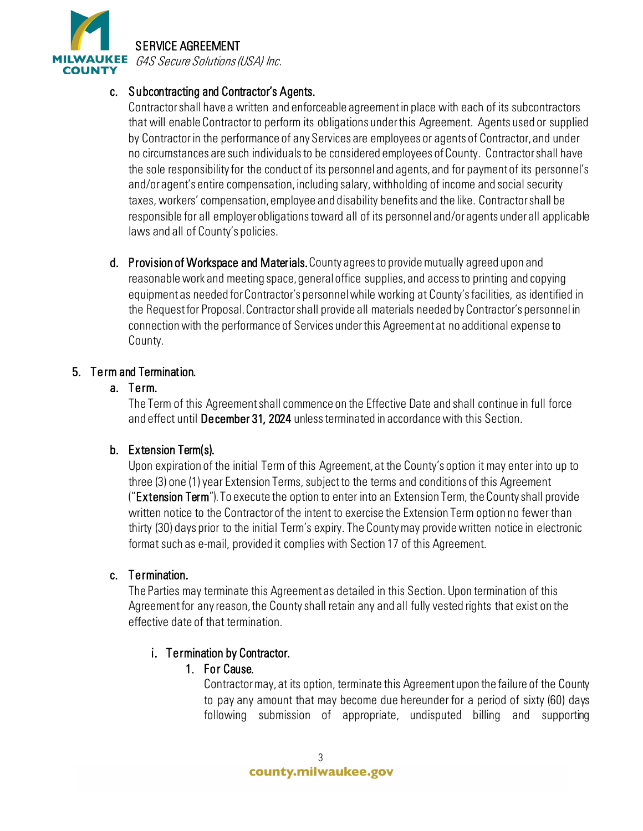

### c. Subcontracting and Contractor's Agents.

Contractor shall have a written and enforceable agreement in place with each of its subcontractors that will enable Contractor to perform its obligations under this Agreement. Agents used or supplied by Contractor in the performance of any Services are employees or agents of Contractor, and under no circumstances are such individuals to be considered employees of County. Contractor shall have the sole responsibility for the conduct of its personnel and agents, and for payment of its personnel's and/or agent's entire compensation, including salary, withholding of income and social security taxes, workers' compensation, employee and disability benefits and the like. Contractor shall be responsible for all employer obligations toward all of its personnel and/or agents under all applicable laws and all of County's policies.

d. Provision of Workspace and Materials. County agrees to provide mutually agreed upon and reasonable work and meeting space, general office supplies, and access to printing and copying equipment as needed for Contractor's personnel while working at County's facilities, as identified in the Request for Proposal. Contractor shall provide all materials needed by Contractor's personnel in connection with the performance of Services under this Agreement at no additional expense to County.

## 5. Term and Termination.

#### a. Term.

The Term of this Agreement shall commence on the Effective Date and shall continue in full force and effect until December 31, 2024 unless terminated in accordance with this Section.

# b. Extension Term(s).

Upon expiration of the initial Term of this Agreement, at the County's option it may enter into up to three (3) one (1) year Extension Terms, subject to the terms and conditions of this Agreement ("Extension Term"). To execute the option to enter into an Extension Term, the County shall provide written notice to the Contractor of the intent to exercise the Extension Term option no fewer than thirty (30) days prior to the initial Term's expiry. The County may provide written notice in electronic format such as e-mail, provided it complies with Section 17 of this Agreement.

#### c. Termination.

The Parties may terminate this Agreement as detailed in this Section. Upon termination of this Agreement for any reason, the County shall retain any and all fully vested rights that exist on the effective date of that termination.

# i. Termination by Contractor.

#### 1. For Cause.

Contractor may, at its option, terminate this Agreement upon the failure of the County to pay any amount that may become due hereunder for a period of sixty (60) days following submission of appropriate, undisputed billing and supporting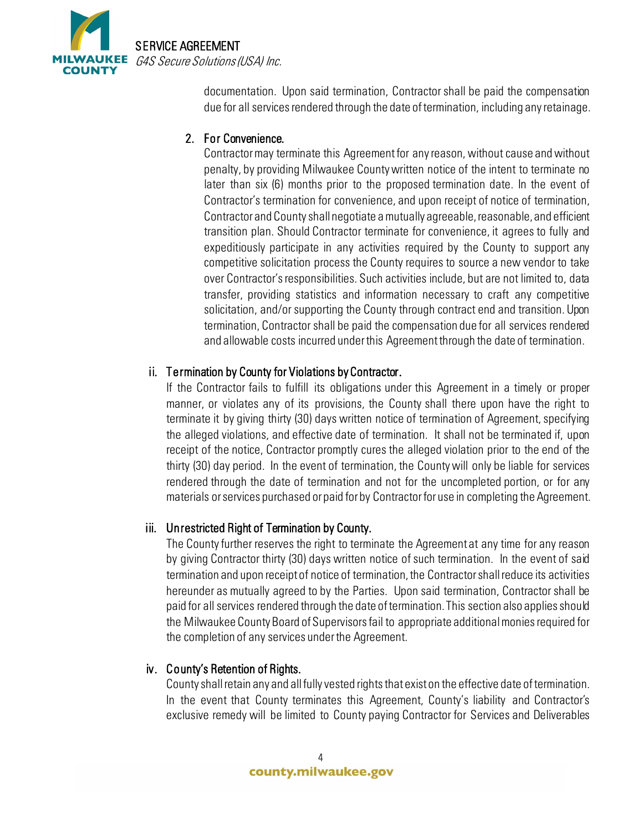

documentation. Upon said termination, Contractor shall be paid the compensation due for all services rendered through the date of termination, including any retainage.

# 2. For Convenience.

Contractor may terminate this Agreement for any reason, without cause and without penalty, by providing Milwaukee County written notice of the intent to terminate no later than six (6) months prior to the proposed termination date. In the event of Contractor's termination for convenience, and upon receipt of notice of termination, Contractor and County shall negotiate a mutually agreeable, reasonable, and efficient transition plan. Should Contractor terminate for convenience, it agrees to fully and expeditiously participate in any activities required by the County to support any competitive solicitation process the County requires to source a new vendor to take over Contractor's responsibilities. Such activities include, but are not limited to, data transfer, providing statistics and information necessary to craft any competitive solicitation, and/or supporting the County through contract end and transition. Upon termination, Contractor shall be paid the compensation due for all services rendered and allowable costs incurred under this Agreement through the date of termination.

## ii. Termination by County for Violations by Contractor.

If the Contractor fails to fulfill its obligations under this Agreement in a timely or proper manner, or violates any of its provisions, the County shall there upon have the right to terminate it by giving thirty (30) days written notice of termination of Agreement, specifying the alleged violations, and effective date of termination. It shall not be terminated if, upon receipt of the notice, Contractor promptly cures the alleged violation prior to the end of the thirty (30) day period. In the event of termination, the County will only be liable for services rendered through the date of termination and not for the uncompleted portion, or for any materials or services purchased or paid for by Contractor for use in completing the Agreement.

# iii. Unrestricted Right of Termination by County.

The County further reserves the right to terminate the Agreement at any time for any reason by giving Contractor thirty (30) days written notice of such termination. In the event of said termination and upon receipt of notice of termination, the Contractor shall reduce its activities hereunder as mutually agreed to by the Parties. Upon said termination, Contractor shall be paid for all services rendered through the date of termination. This section also applies should the Milwaukee County Board of Supervisors fail to appropriate additional monies required for the completion of any services under the Agreement.

# iv. County's Retention of Rights.

County shall retain any and allfully vested rights that exist on the effective date of termination. In the event that County terminates this Agreement, County's liability and Contractor's exclusive remedy will be limited to County paying Contractor for Services and Deliverables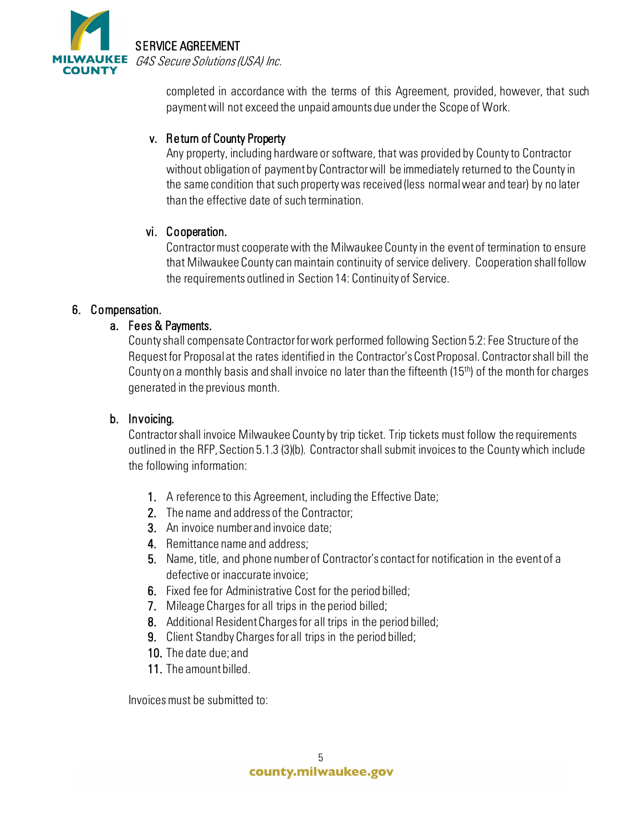

completed in accordance with the terms of this Agreement, provided, however, that such payment will not exceed the unpaid amounts due under the Scope of Work.

# v. Return of County Property

Any property, including hardware or software, that was provided by County to Contractor without obligation of payment by Contractor will be immediately returned to the County in the same condition that such property was received (less normal wear and tear) by no later than the effective date of such termination.

## vi. Cooperation.

Contractor must cooperate with the Milwaukee County in the event of termination to ensure that Milwaukee County can maintain continuity of service delivery. Cooperation shall follow the requirements outlined in Section 14: Continuity of Service.

# 6. Compensation.

## a. Fees & Payments.

County shall compensate Contractor for work performed following Section 5.2: Fee Structure of the Request for Proposalat the rates identified in the Contractor's Cost Proposal. Contractor shall bill the County on a monthly basis and shall invoice no later than the fifteenth  $(15<sup>th</sup>)$  of the month for charges generated in the previous month.

### b. Invoicing.

Contractor shall invoice Milwaukee County by trip ticket. Trip tickets must follow the requirements outlined in the RFP, Section 5.1.3 (3)(b). Contractor shall submit invoices to the Countywhich include the following information:

- 1. A reference to this Agreement, including the Effective Date;
- 2. The name and address of the Contractor;
- 3. An invoice number and invoice date;
- 4. Remittance name and address;
- 5. Name, title, and phone number of Contractor's contact for notification in the event of a defective or inaccurate invoice;
- 6. Fixed fee for Administrative Cost for the period billed;
- 7. Mileage Charges for all trips in the period billed;
- 8. Additional Resident Charges for all trips in the period billed;
- 9. Client Standby Charges for all trips in the period billed;
- 10. The date due; and
- 11. The amount billed.

Invoices must be submitted to: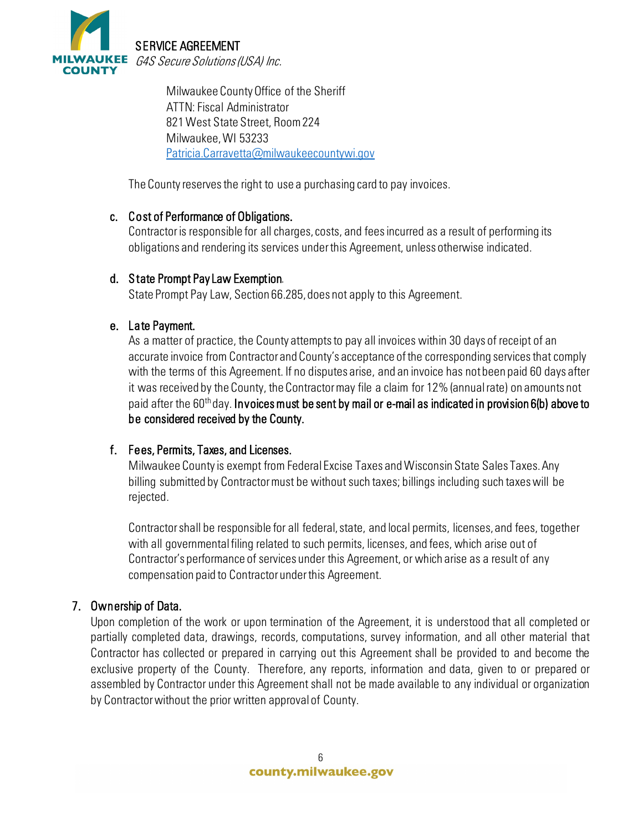

Milwaukee County Office of the Sheriff ATTN: Fiscal Administrator 821 West State Street, Room 224 Milwaukee,WI 53233 [Patricia.Carravetta@milwaukeecountywi.gov](mailto:Patricia.Carravetta@milwaukeecountywi.gov)

The County reserves the right to use a purchasing card to pay invoices.

## c. Cost of Performance of Obligations.

Contractor is responsible for all charges, costs, and fees incurred as a result of performing its obligations and rendering its services under this Agreement, unless otherwise indicated.

## d. State Prompt Pay Law Exemption.

State Prompt Pay Law, Section 66.285, does not apply to this Agreement.

## e. Late Payment.

As a matter of practice, the County attempts to pay all invoices within 30 days of receipt of an accurate invoice from Contractor and County's acceptance of the corresponding services that comply with the terms of this Agreement. If no disputes arise, and an invoice has not been paid 60 days after it was received by the County, the Contractor may file a claim for 12% (annual rate) on amounts not paid after the 60<sup>th</sup> day. Invoices must be sent by mail or e-mail as indicated in provision 6(b) above to be considered received by the County.

# f. Fees, Permits, Taxes, and Licenses.

Milwaukee County is exempt from Federal Excise Taxes and Wisconsin State Sales Taxes. Any billing submitted by Contractor must be without such taxes; billings including such taxes will be rejected.

Contractor shall be responsible for all federal, state, and local permits, licenses, and fees, together with all governmental filing related to such permits, licenses, and fees, which arise out of Contractor's performance of services under this Agreement, or which arise as a result of any compensation paid to Contractor under this Agreement.

# 7. Ownership of Data.

Upon completion of the work or upon termination of the Agreement, it is understood that all completed or partially completed data, drawings, records, computations, survey information, and all other material that Contractor has collected or prepared in carrying out this Agreement shall be provided to and become the exclusive property of the County. Therefore, any reports, information and data, given to or prepared or assembled by Contractor under this Agreement shall not be made available to any individual or organization by Contractor without the prior written approval of County.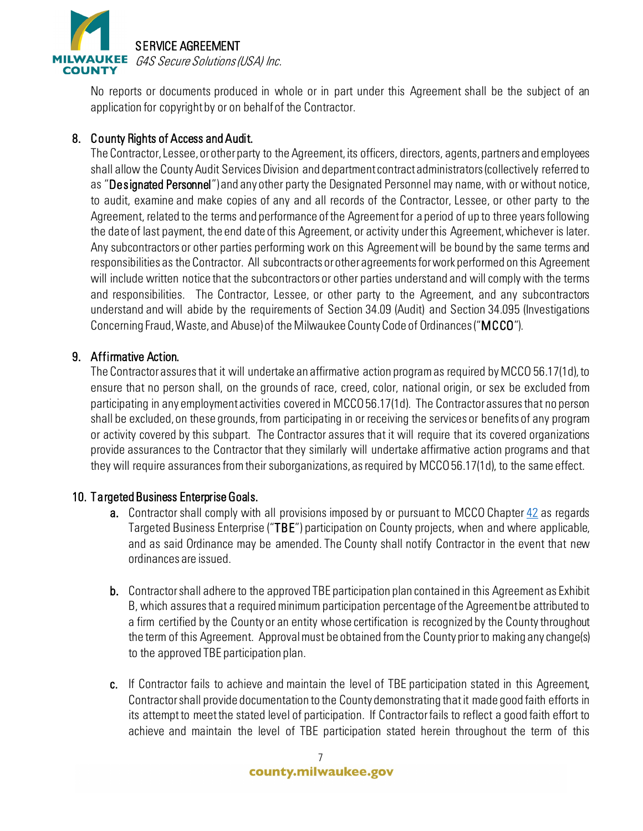

No reports or documents produced in whole or in part under this Agreement shall be the subject of an application for copyright by or on behalf of the Contractor.

# 8. County Rights of Access and Audit.

The Contractor, Lessee, or other party to the Agreement, its officers, directors, agents, partners and employees shall allow the County Audit Services Division and department contract administrators (collectively referred to as "Designated Personnel") and any other party the Designated Personnel may name, with or without notice, to audit, examine and make copies of any and all records of the Contractor, Lessee, or other party to the Agreement, related to the terms and performance of the Agreement for a period of up to three years following the date of last payment, the end date of this Agreement, or activity under this Agreement, whichever is later. Any subcontractors or other parties performing work on this Agreement will be bound by the same terms and responsibilities as the Contractor. All subcontracts or other agreements for work performed on this Agreement will include written notice that the subcontractors or other parties understand and will comply with the terms and responsibilities. The Contractor, Lessee, or other party to the Agreement, and any subcontractors understand and will abide by the requirements of Section 34.09 (Audit) and Section 34.095 (Investigations Concerning Fraud, Waste, and Abuse) of the Milwaukee County Code of Ordinances("MCCO").

#### 9. Affirmative Action.

The Contractor assures that it will undertake an affirmative action program as required by MCCO 56.17(1d), to ensure that no person shall, on the grounds of race, creed, color, national origin, or sex be excluded from participating in any employment activities covered in MCCO 56.17(1d). The Contractor assures that no person shall be excluded, on these grounds, from participating in or receiving the services or benefits of any program or activity covered by this subpart. The Contractor assures that it will require that its covered organizations provide assurances to the Contractor that they similarly will undertake affirmative action programs and that they will require assurances from their suborganizations, as required by MCCO 56.17(1d), to the same effect.

#### 10. Targeted Business Enterprise Goals.

- a. Contractor shall comply with all provisions imposed by or pursuant to MCCO Chapte[r 42](https://library.municode.com/wi/milwaukee_county/codes/code_of_ordinances?nodeId=MICOCOGEORVOI_CH42TABUENPACOCO) as regards Targeted Business Enterprise ("TBE") participation on County projects, when and where applicable, and as said Ordinance may be amended. The County shall notify Contractor in the event that new ordinances are issued.
- b. Contractor shall adhere to the approved TBE participation plan contained in this Agreement as Exhibit B, which assures that a required minimum participation percentage of the Agreementbe attributed to a firm certified by the County or an entity whose certification is recognized by the County throughout the term of this Agreement. Approval must be obtained from the County prior to making any change(s) to the approved TBE participation plan.
- c. If Contractor fails to achieve and maintain the level of TBE participation stated in this Agreement, Contractor shall provide documentation to the County demonstrating that it made good faith efforts in its attempt to meet the stated level of participation. If Contractor fails to reflect a good faith effort to achieve and maintain the level of TBE participation stated herein throughout the term of this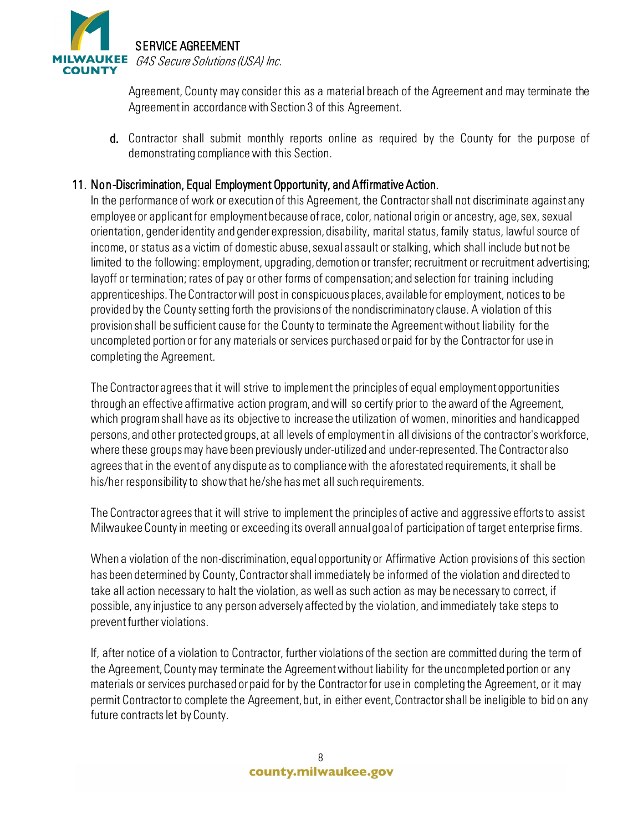

Agreement, County may consider this as a material breach of the Agreement and may terminate the Agreementin accordance with Section 3 of this Agreement.

d. Contractor shall submit monthly reports online as required by the County for the purpose of demonstrating compliance with this Section.

# 11. Non-Discrimination, Equal Employment Opportunity, and Affirmative Action.

In the performance of work or execution of this Agreement, the Contractor shall not discriminate against any employee or applicant for employment because of race, color, national origin or ancestry, age, sex, sexual orientation, gender identity and gender expression, disability, marital status, family status, lawful source of income, or status as a victim of domestic abuse, sexual assault or stalking, which shall include but not be limited to the following: employment, upgrading, demotion or transfer; recruitment or recruitment advertising; layoff or termination; rates of pay or other forms of compensation; and selection for training including apprenticeships. The Contractor will post in conspicuous places, available for employment, notices to be provided by the County setting forth the provisions of the nondiscriminatory clause. A violation of this provision shall be sufficient cause for the County to terminate the Agreement without liability for the uncompleted portion or for any materials or services purchased or paid for by the Contractor for use in completing the Agreement.

The Contractor agrees that it will strive to implement the principles of equal employment opportunities through an effective affirmative action program, and will so certify prior to the award of the Agreement, which program shall have as its objective to increase the utilization of women, minorities and handicapped persons, and other protected groups, at all levels of employment in all divisions of the contractor's workforce, where these groups may have been previously under-utilized and under-represented. The Contractor also agrees that in the event of any dispute as to compliance with the aforestated requirements, it shall be his/her responsibility to show that he/she has met all such requirements.

The Contractor agrees that it will strive to implement the principles of active and aggressive efforts to assist Milwaukee County in meeting or exceeding its overall annual goal of participation of target enterprise firms.

When a violation of the non-discrimination, equal opportunity or Affirmative Action provisions of this section has been determined by County, Contractor shall immediately be informed of the violation and directed to take all action necessary to halt the violation, as well as such action as may be necessary to correct, if possible, any injustice to any person adversely affected by the violation, and immediately take steps to prevent further violations.

If, after notice of a violation to Contractor, further violations of the section are committed during the term of the Agreement, County may terminate the Agreement without liability for the uncompleted portion or any materials or services purchased or paid for by the Contractor for use in completing the Agreement, or it may permit Contractor to complete the Agreement, but, in either event, Contractor shall be ineligible to bid on any future contracts let by County.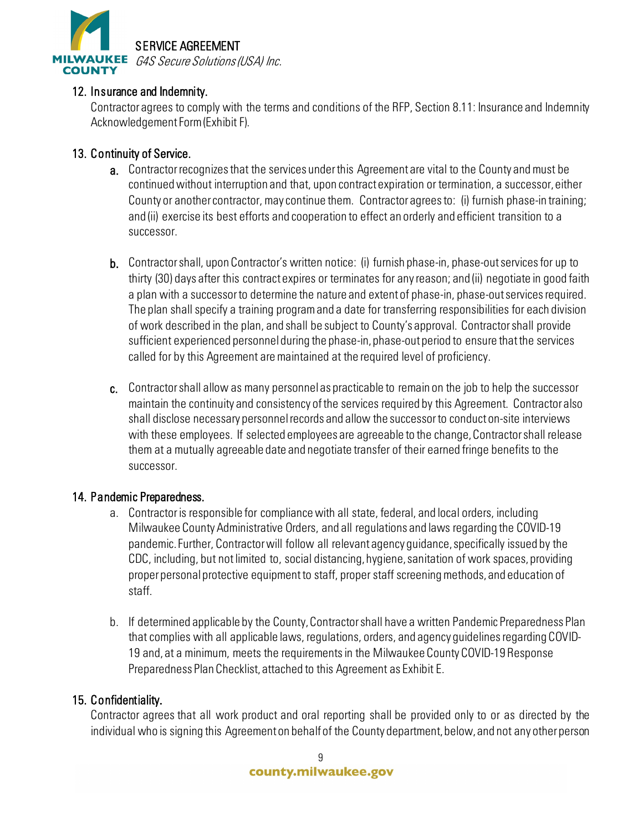

### 12. Insurance and Indemnity.

Contractor agrees to comply with the terms and conditions of the RFP, Section 8.11: Insurance and Indemnity Acknowledgement Form(Exhibit F).

# 13. Continuity of Service.

- a. Contractor recognizes that the services under this Agreement are vital to the County and must be continued without interruption and that, upon contract expiration or termination, a successor, either County or another contractor, may continue them. Contractor agrees to: (i) furnish phase-in training; and (ii) exercise its best efforts and cooperation to effect an orderly and efficient transition to a successor.
- b. Contractor shall, upon Contractor's written notice: (i) furnish phase-in, phase-out services for up to thirty (30) days after this contract expires or terminates for any reason; and (ii) negotiate in good faith a plan with a successor to determine the nature and extent of phase-in, phase-out services required. The plan shall specify a training program and a date for transferring responsibilities for each division of work described in the plan, and shall be subject to County's approval. Contractor shall provide sufficient experienced personnel during the phase-in, phase-out period to ensure that the services called for by this Agreement are maintained at the required level of proficiency.
- c. Contractor shall allow as many personnel as practicable to remain on the job to help the successor maintain the continuity and consistency of the services required by this Agreement. Contractor also shall disclose necessary personnel records and allow the successor to conduct on-site interviews with these employees. If selected employees are agreeable to the change, Contractor shall release them at a mutually agreeable date and negotiate transfer of their earned fringe benefits to the successor.

#### 14. Pandemic Preparedness.

- a. Contractor is responsible for compliance with all state, federal, and local orders, including Milwaukee County Administrative Orders, and all regulations and laws regarding the COVID-19 pandemic. Further, Contractor will follow all relevant agency guidance, specifically issued by the CDC, including, but not limited to, social distancing, hygiene, sanitation of work spaces, providing proper personal protective equipment to staff, proper staff screening methods, and education of staff.
- b. If determined applicable by the County, Contractor shall have a written Pandemic Preparedness Plan that complies with all applicable laws, regulations, orders, and agency guidelines regarding COVID-19 and, at a minimum, meets the requirements in the Milwaukee County COVID-19 Response Preparedness Plan Checklist, attached to this Agreement as Exhibit E.

#### 15. Confidentiality.

Contractor agrees that all work product and oral reporting shall be provided only to or as directed by the individual who is signing this Agreement on behalf of the County department, below, and not any other person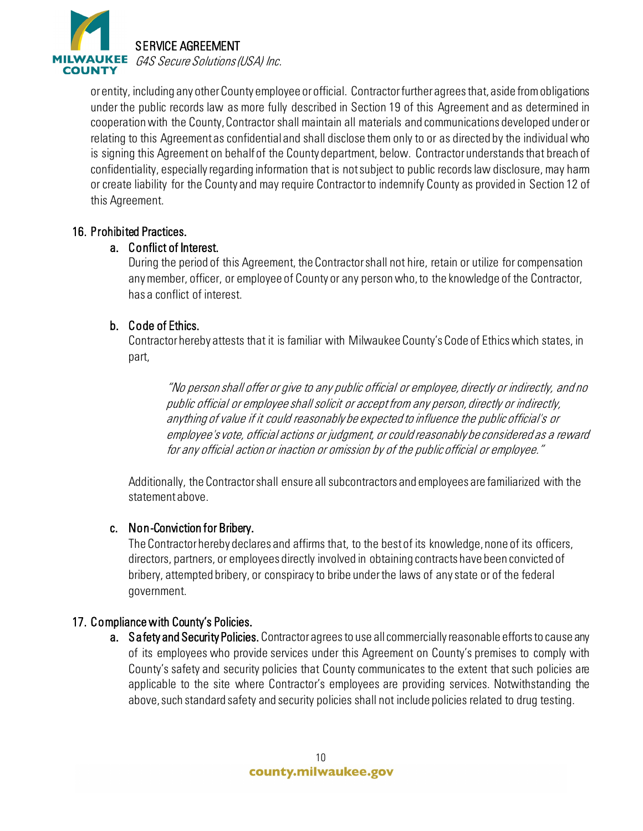

or entity, including any other County employee or official. Contractor further agrees that, aside from obligations under the public records law as more fully described in Section 19 of this Agreement and as determined in cooperation with the County, Contractor shall maintain all materials and communications developed under or relating to this Agreement as confidential and shall disclose them only to or as directed by the individual who is signing this Agreement on behalf of the County department, below. Contractor understands that breach of confidentiality, especially regarding information that is not subject to public records law disclosure, may harm or create liability for the County and may require Contractor to indemnify County as provided in Section 12 of this Agreement.

## 16. Prohibited Practices.

## a. Conflict of Interest.

During the period of this Agreement, the Contractorshall not hire, retain or utilize for compensation any member, officer, or employee of County or any person who, to the knowledge of the Contractor, has a conflict of interest.

# b. Code of Ethics.

Contractor hereby attests that it is familiar with Milwaukee County's Code of Ethics which states, in part,

"No person shall offer or give to any public official or employee, directly or indirectly, and no public official or employee shall solicit or accept from any person, directly or indirectly, anything of value if it could reasonably be expected to influence the public official's or employee's vote, official actions or judgment, or could reasonably be considered as a reward for any official action or inaction or omission by of the public official or employee."

Additionally, the Contractor shall ensure all subcontractors and employees are familiarized with the statement above.

# c. Non-Conviction for Bribery.

The Contractor hereby declares and affirms that, to the best of its knowledge, none of its officers, directors, partners, or employees directly involved in obtaining contracts have been convicted of bribery, attempted bribery, or conspiracy to bribe under the laws of any state or of the federal government.

# 17. Compliance with County's Policies.

a. Safety and Security Policies. Contractor agrees to use all commercially reasonable efforts to cause any of its employees who provide services under this Agreement on County's premises to comply with County's safety and security policies that County communicates to the extent that such policies are applicable to the site where Contractor's employees are providing services. Notwithstanding the above, such standard safety and security policies shall not include policies related to drug testing.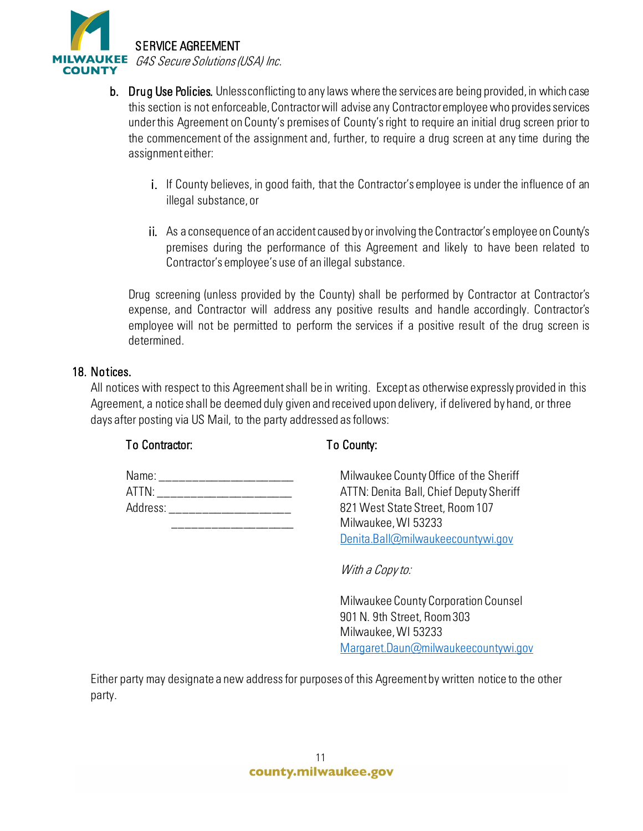

- **b.** Drug Use Policies. Unless conflicting to any laws where the services are being provided, in which case this section is not enforceable, Contractor will advise any Contractor employee who provides services under this Agreement on County's premises of County's right to require an initial drug screen prior to the commencement of the assignment and, further, to require a drug screen at any time during the assignment either:
	- i. If County believes, in good faith, that the Contractor's employee is under the influence of an illegal substance, or
	- ii. As a consequence of an accident caused by or involving the Contractor's employee on County's premises during the performance of this Agreement and likely to have been related to Contractor's employee's use of an illegal substance.

Drug screening (unless provided by the County) shall be performed by Contractor at Contractor's expense, and Contractor will address any positive results and handle accordingly. Contractor's employee will not be permitted to perform the services if a positive result of the drug screen is determined.

#### 18. Notices.

All notices with respect to this Agreement shall be in writing. Except as otherwise expressly provided in this Agreement, a notice shall be deemed duly given and received upon delivery, if delivered by hand, or three days after posting via US Mail, to the party addressed as follows:

#### To Contractor: To County:

| Name: when the control of the control of the control of the control of the control of the control of the control of the control of the control of the control of the control of the control of the control of the control of t |  |  |  |
|--------------------------------------------------------------------------------------------------------------------------------------------------------------------------------------------------------------------------------|--|--|--|
| ATTN: ________________                                                                                                                                                                                                         |  |  |  |
| Address: Address: Address: Address: Address: Address: Address: Address: Address: Address: Address: A                                                                                                                           |  |  |  |
|                                                                                                                                                                                                                                |  |  |  |

Name: Name: Name: Name: Name: Name: Name: Name: Name: Name: Name: Name: Name: Name: Name: Name: Name: Name: Name: N ATTN: Denita Ball, Chief Deputy Sheriff 821 West State Street, Room 107 Milwaukee, WI 53233 [Denita.Ball@milwaukeecountywi.gov](mailto:Denita.Ball@milwaukeecountywi.gov)

With a Copy to:

Milwaukee County Corporation Counsel 901 N. 9th Street, Room 303 Milwaukee, WI 53233 [Margaret.Daun@milwaukeecountywi.gov](mailto:Margaret.Daun@milwaukeecountywi.gov)

Either party may designate a new address for purposes of this Agreement by written notice to the other party.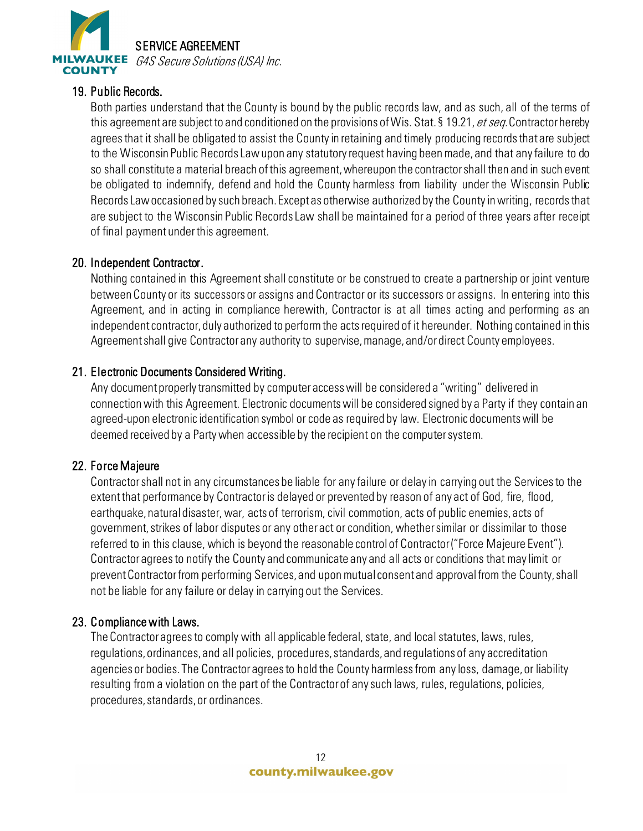

## 19. Public Records.

Both parties understand that the County is bound by the public records law, and as such, all of the terms of this agreement are subject to and conditioned on the provisions of Wis. Stat. § 19.21, et seq. Contractor hereby agrees that it shall be obligated to assist the County in retaining and timely producing records that are subject to the Wisconsin Public Records Law upon any statutory request having been made, and that any failure to do so shall constitute a material breach of this agreement, whereupon the contractor shall then and in such event be obligated to indemnify, defend and hold the County harmless from liability under the Wisconsin Public Records Law occasioned by such breach. Except as otherwise authorized by the County in writing, records that are subject to the Wisconsin Public Records Law shall be maintained for a period of three years after receipt of final payment under this agreement.

#### 20. Independent Contractor.

Nothing contained in this Agreement shall constitute or be construed to create a partnership or joint venture between County or its successors or assigns and Contractor or its successors or assigns. In entering into this Agreement, and in acting in compliance herewith, Contractor is at all times acting and performing as an independent contractor, duly authorized to perform the acts required of it hereunder. Nothing contained in this Agreement shall give Contractor any authority to supervise, manage, and/or direct County employees.

## 21. Electronic Documents Considered Writing.

Any document properly transmitted by computer access will be considered a "writing" delivered in connection with this Agreement. Electronic documents will be considered signed by a Party if they contain an agreed-upon electronic identification symbol or code as required by law. Electronic documents will be deemed received by a Party when accessible by the recipient on the computer system.

# 22. Force Majeure

Contractor shall not in any circumstances be liable for any failure or delay in carrying out the Services to the extent that performance by Contractor is delayed or prevented by reason of any act of God, fire, flood, earthquake, natural disaster, war, acts of terrorism, civil commotion, acts of public enemies, acts of government, strikes of labor disputes or any other act or condition, whether similar or dissimilar to those referred to in this clause, which is beyond the reasonable control of Contractor ("Force Majeure Event"). Contractor agrees to notify the County and communicate any and all acts or conditions that may limit or prevent Contractor from performing Services, and upon mutual consent and approval from the County, shall not be liable for any failure or delay in carrying out the Services.

#### 23. Compliance with Laws.

The Contractor agrees to comply with all applicable federal, state, and local statutes, laws, rules, regulations, ordinances, and all policies, procedures, standards, and regulations of any accreditation agencies or bodies. The Contractor agrees to hold the County harmless from any loss, damage, or liability resulting from a violation on the part of the Contractor of any such laws, rules, regulations, policies, procedures, standards, or ordinances.